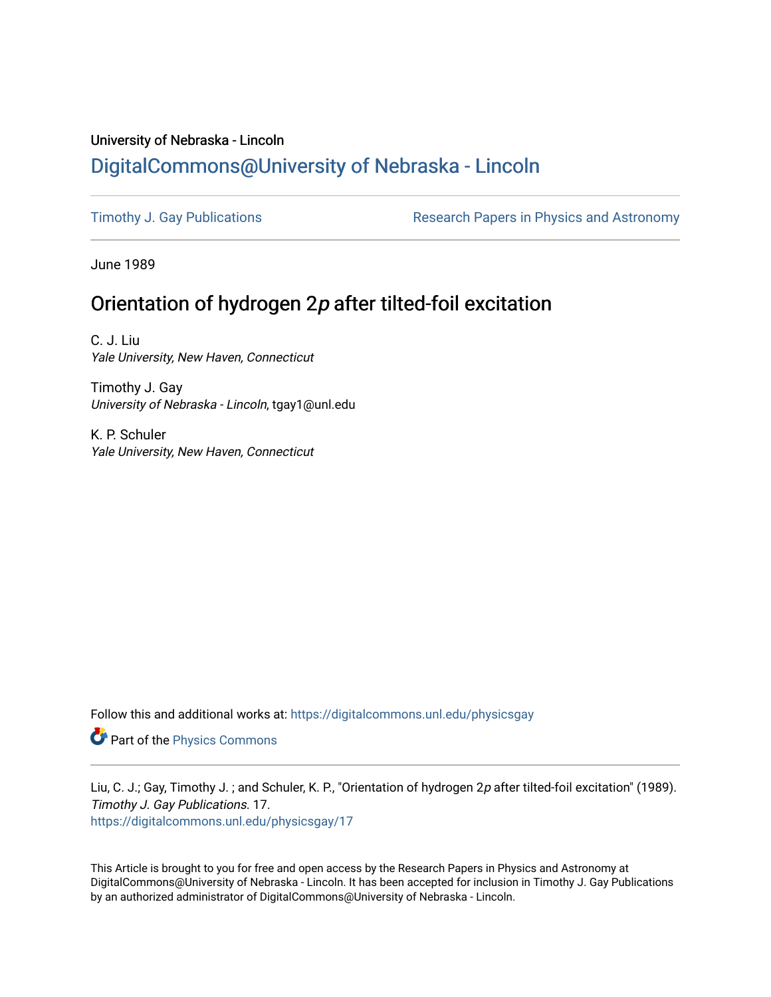## University of Nebraska - Lincoln [DigitalCommons@University of Nebraska - Lincoln](https://digitalcommons.unl.edu/)

[Timothy J. Gay Publications](https://digitalcommons.unl.edu/physicsgay) **Research Papers in Physics and Astronomy** 

June 1989

## Orientation of hydrogen 2p after tilted-foil excitation

C. J. Liu Yale University, New Haven, Connecticut

Timothy J. Gay University of Nebraska - Lincoln, tgay1@unl.edu

K. P. Schuler Yale University, New Haven, Connecticut

Follow this and additional works at: [https://digitalcommons.unl.edu/physicsgay](https://digitalcommons.unl.edu/physicsgay?utm_source=digitalcommons.unl.edu%2Fphysicsgay%2F17&utm_medium=PDF&utm_campaign=PDFCoverPages)

Part of the [Physics Commons](http://network.bepress.com/hgg/discipline/193?utm_source=digitalcommons.unl.edu%2Fphysicsgay%2F17&utm_medium=PDF&utm_campaign=PDFCoverPages)

Liu, C. J.; Gay, Timothy J.; and Schuler, K. P., "Orientation of hydrogen 2p after tilted-foil excitation" (1989). Timothy J. Gay Publications. 17. [https://digitalcommons.unl.edu/physicsgay/17](https://digitalcommons.unl.edu/physicsgay/17?utm_source=digitalcommons.unl.edu%2Fphysicsgay%2F17&utm_medium=PDF&utm_campaign=PDFCoverPages) 

This Article is brought to you for free and open access by the Research Papers in Physics and Astronomy at DigitalCommons@University of Nebraska - Lincoln. It has been accepted for inclusion in Timothy J. Gay Publications by an authorized administrator of DigitalCommons@University of Nebraska - Lincoln.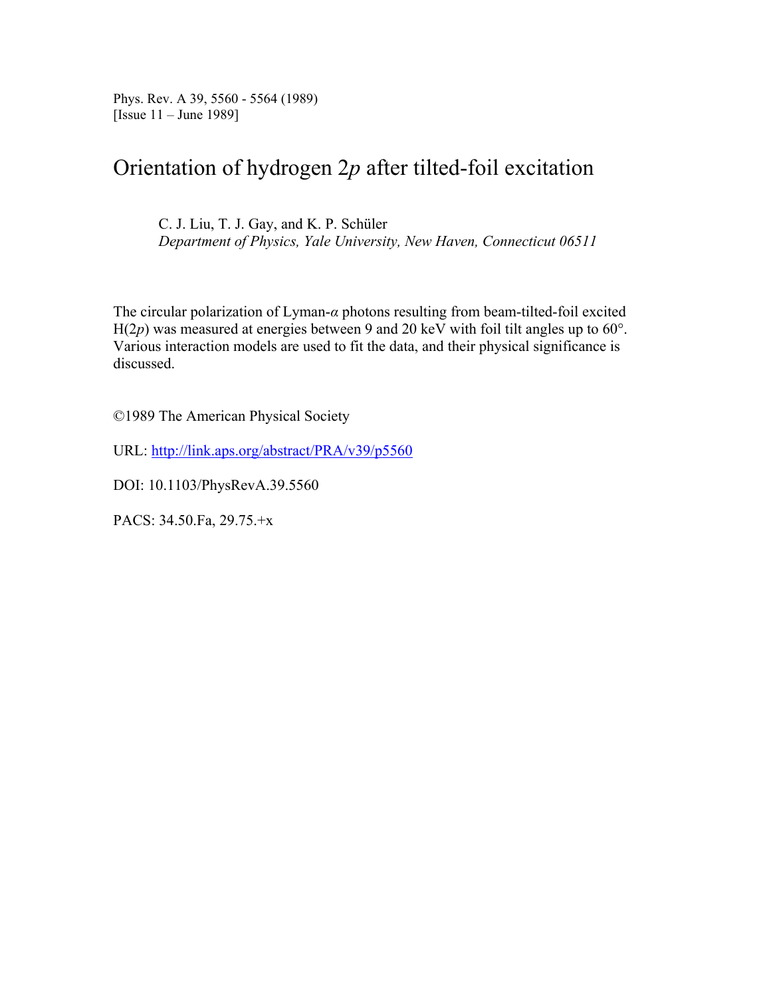Phys. Rev. A 39, 5560 - 5564 (1989) [Issue 11 – June 1989]

# Orientation of hydrogen 2*p* after tilted-foil excitation

C. J. Liu, T. J. Gay, and K. P. Schüler *Department of Physics, Yale University, New Haven, Connecticut 06511*

The circular polarization of Lyman-*α* photons resulting from beam-tilted-foil excited  $H(2p)$  was measured at energies between 9 and 20 keV with foil tilt angles up to 60°. Various interaction models are used to fit the data, and their physical significance is discussed.

©1989 The American Physical Society

URL: http://link.aps.org/abstract/PRA/v39/p5560

DOI: 10.1103/PhysRevA.39.5560

PACS: 34.50.Fa, 29.75.+x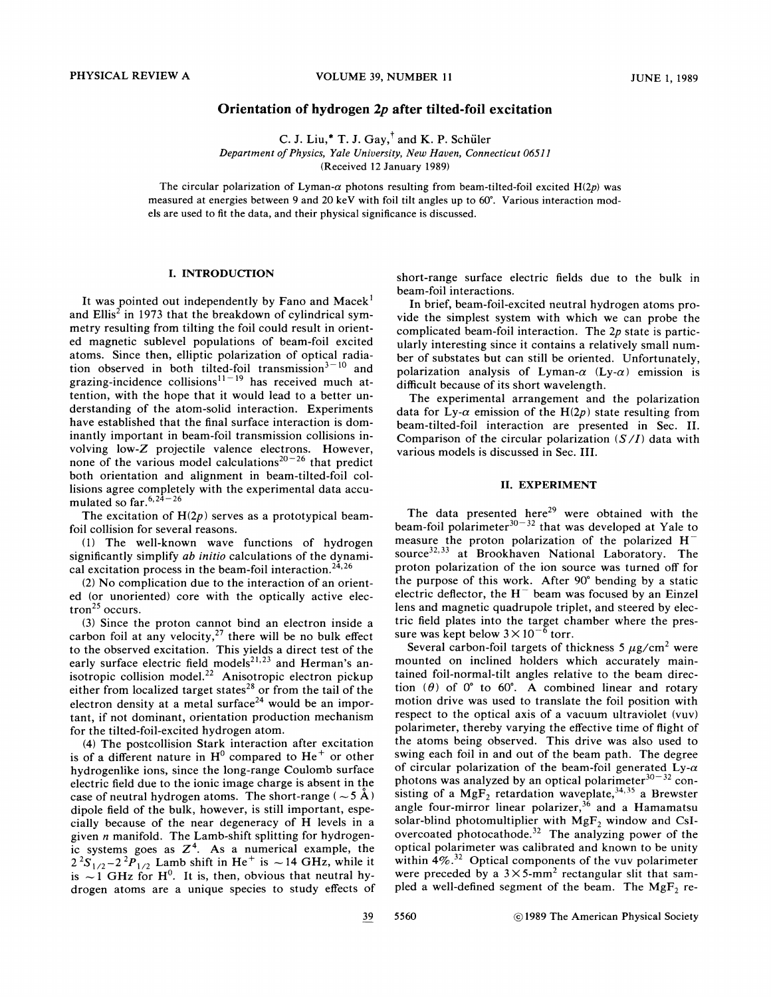### **Orientation of hydrogen** *2p* **after tilted-foil excitation**

C. J. Liu,\* T. J. Gay, $^{\dagger}$  and K. P. Schüler Department of Physics, Yale University, New Haven, Connecticut 06511 (Received 12 January 1989)

The circular polarization of Lyman- $\alpha$  photons resulting from beam-tilted-foil excited H(2p) was measured at energies between 9 and *20* keV with foil tilt angles up to *60".* Various interaction models are used to fit the data, and their physical significance is discussed.

### **I. INTRODUCTION**

It was pointed out independently by Fano and Macek<sup>1</sup> and  $Ellis<sup>2</sup>$  in 1973 that the breakdown of cylindrical symmetry resulting from tilting the foil could result in oriented magnetic sublevel populations of beam-foil excited atoms. Since then, elliptic polarization of optical radiation observed in both tilted-foil transmission<sup> $3-10$ </sup> and grazing-incidence collisions<sup> $11-19$ </sup> has received much attention, with the hope that it would lead to a better understanding of the atom-solid interaction. Experiments have established that the final surface interaction is dominantly important in beam-foil transmission collisions involving low-Z projectile valence electrons. However, none of the various model calculations<sup>20-26</sup> that predict both orientation and alignment in beam-tilted-foil collisions agree completely with the experimental data accumulated so far. $6, 24-26$ 

The excitation of  $H(2p)$  serves as a prototypical beamfoil collision for several reasons.

(1) The well-known wave functions of hydrogen significantly simplify ab **initio** calculations of the dynamical excitation process in the beam-foil interaction.<sup>24,26</sup>

(2) No complication due to the interaction of an oriented (or unoriented) core with the optically active electron<sup>25</sup> occurs.

(3) Since the proton cannot bind an electron inside a carbon foil at any velocity, $27$  there will be no bulk effect to the observed excitation. This yields a direct test of the early surface electric field models<sup>21,23</sup> and Herman's anisotropic collision model.<sup>22</sup> Anisotropic electron pickup either from localized target states<sup>28</sup> or from the tail of the electron density at a metal surface<sup>24</sup> would be an important, if not dominant, orientation production mechanism for the tilted-foil-excited hydrogen atom.

(4) The postcollision Stark interaction after excitation is of a different nature in  $H^0$  compared to  $He^+$  or other hydrogenlike ions, since the long-range Coulomb surface electric field due to the ionic image charge is absent in the case of neutral hydrogen atoms. The short-range ( $\sim$  5 Å) dipole field of the bulk, however, is still important, especially because of the near degeneracy of H levels in a given *n* manifold. The Lamb-shift splitting for hydrogenic systems goes as  $Z<sup>4</sup>$ . As a numerical example, the ic systems goes as  $Z^4$ . As a numerical example, the<br> $2^2S_{1/2}-2^2P_{1/2}$  Lamb shift in He<sup>+</sup> is ~ 14 GHz, while it  $2^{2}S_{1/2}-2^{2}P_{1/2}$  Lamb shift in He<sup>+</sup> is ~14 GHz, while it is ~1 GHz for H<sup>0</sup>. It is, then, obvious that neutral hydrogen atoms are a unique species to study effects of

short-range surface electric fields due to the bulk in beam-foil interactions.

In brief, beam-foil-excited neutral hydrogen atoms provide the simplest system with which we can probe the complicated beam-foil interaction. The  $2p$  state is particularly interesting since it contains a relatively small number of substates but can still be oriented. Unfortunately, polarization analysis of Lyman- $\alpha$  (Ly- $\alpha$ ) emission is difficult because of its short wavelength.

The experimental arrangement and the polarization data for Ly- $\alpha$  emission of the H(2p) state resulting from beam-tilted-foil interaction are presented in Sec. 11. Comparison of the circular polarization *(S/I)* data with various models is discussed in Sec. 111.

#### **11. EXPERIMENT**

The data presented here<sup>29</sup> were obtained with the beam-foil polarimeter $30-32$  that was developed at Yale to measure the proton polarization of the polarized  $H^$ source<sup>32,33</sup> at Brookhaven National Laboratory. The proton polarization of the ion source was turned off for the purpose of this work. After 90" bending by a static electric deflector, the  $H^-$  beam was focused by an Einzel lens and magnetic quadrupole triplet, and steered by electric field plates into the target chamber where the pressure was kept below  $3 \times 10^{-6}$  torr.

Several carbon-foil targets of thickness 5  $\mu$ g/cm<sup>2</sup> were mounted on inclined holders which accurately maintained foil-normal-tilt angles relative to the beam direction  $(\theta)$  of  $0^{\circ}$  to  $60^{\circ}$ . A combined linear and rotary motion drive was used to translate the foil position with respect to the optical axis of a vacuum ultraviolet (vuv) polarimeter, thereby varying the effective time of flight of the atoms being observed. This drive was also used to swing each foil in and out of the beam path. The degree of circular polarization of the beam-foil generated Ly- $\alpha$ photons was analyzed by an optical polarimeter $30-32$  consisting of a  $MgF_2$  retardation waveplate,<sup>34,35</sup> a Brewster angle four-mirror linear polarizer,  $36$  and a Hamamatsu solar-blind photomultiplier with  $MgF_2$  window and CsIovercoated photocathode.<sup>32</sup> The analyzing power of the optical polarimeter was calibrated and known to be unity within  $4\%$ .<sup>32</sup> Optical components of the vuv polarimeter were preceded by a  $3 \times 5$ -mm<sup>2</sup> rectangular slit that sampled a well-defined segment of the beam. The  $MgF_2$  re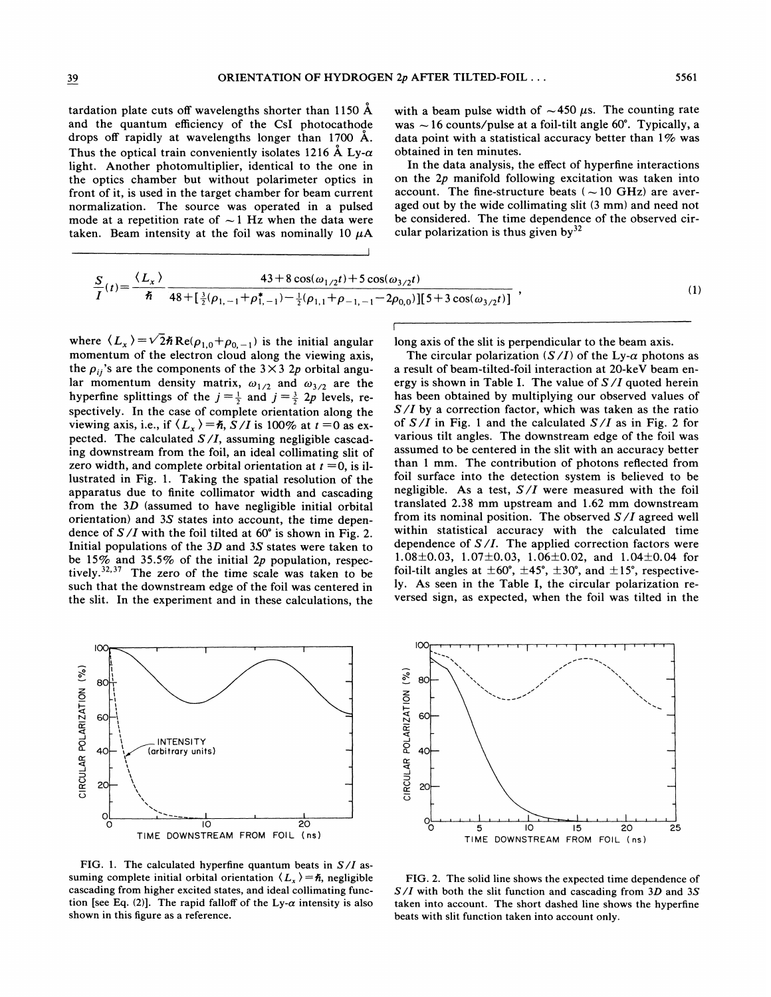tardation plate cuts off wavelengths shorter than 1150 Å and the quantum efficiency of the CsI photocathode drops off rapidly at wavelengths longer than 1700 Å. Thus the optical train conveniently isolates 1216 Å Ly- $\alpha$ light. Another photomultiplier, identical to the one in the optics chamber but without polarimeter optics in front of it, is used in the target chamber for beam current normalization. The source was operated in a pulsed mode at a repetition rate of  $\sim$  1 Hz when the data were taken. Beam intensity at the foil was nominally 10  $\mu$ A with a beam pulse width of  $\sim$  450  $\mu$ s. The counting rate was  $\sim$  16 counts/pulse at a foil-tilt angle 60°. Typically, a data point with a statistical accuracy better than 1% was obtained in ten minutes.

In the data analysis, the effect of hyperfine interactions on the  $2p$  manifold following excitation was taken into account. The fine-structure beats  $({\sim}10 \text{ GHz})$  are averaged out by the wide collimating slit (3 mm) and need not be considered. The time dependence of the observed circular polarization is thus given by  $32$ 

$$
\frac{S}{I}(t) = \frac{\langle L_x \rangle}{\hbar} \frac{43 + 8 \cos(\omega_{1/2} t) + 5 \cos(\omega_{3/2} t)}{48 + [\frac{3}{2}(\rho_{1,-1} + \rho_{1,-1}^*) - \frac{1}{2}(\rho_{1,1} + \rho_{-1,-1} - 2\rho_{0,0})][5 + 3 \cos(\omega_{3/2} t)]},
$$
\n(1)

where  $\langle L_{x} \rangle = \sqrt{2} \hbar \text{Re}(\rho_{1,0} + \rho_{0,-1})$  is the initial angular momentum of the electron cloud along the viewing axis, the  $\rho_{ij}$ 's are the components of the 3×3 2p orbital angular momentum density matrix,  $\omega_{1/2}$  and  $\omega_{3/2}$  are the hyperfine splittings of the  $j = \frac{1}{2}$  and  $j = \frac{3}{2}$  2p levels, respectively. In the case of complete orientation along the viewing axis, i.e., if  $\langle L_x \rangle = \hbar$ ,  $S/I$  is 100% at  $t = 0$  as expected. The calculated  $S/I$ , assuming negligible cascading downstream from the foil, an ideal collimating slit of zero width, and complete orbital orientation at  $t = 0$ , is illustrated in Fig. 1. Taking the spatial resolution of the apparatus due to finite collimator width and cascading from the  $3D$  (assumed to have negligible initial orbital orientation) and 3S states into account, the time dependence of  $S/I$  with the foil tilted at 60° is shown in Fig. 2. Initial populations of the  $3D$  and  $3S$  states were taken to be 15% and 35.5% of the initial 2p population, respectively.<sup>32,37</sup> The zero of the time scale was taken to be such that the downstream edge of the foil was centered in the slit. In the experiment and in these calculations, the

IО CIRCULAR POLARIZATION (%) 80 60 **INTENSITY** (arbitrary units)  $\frac{1}{\alpha}$  $\overline{10}$  $\overline{20}$ TIME DOWNSTREAM FROM FOIL (ns)

FIG. 1. The calculated hyperfine quantum beats in  $S/I$  assuming complete initial orbital orientation  $\langle L_x \rangle = \hbar$ , negligible cascading from higher excited states, and ideal collimating function [see Eq. (2)]. The rapid falloff of the Ly- $\alpha$  intensity is also shown in this figure as a reference.

long axis of the slit is perpendicular to the beam axis.

The circular polarization  $(S/I)$  of the Ly- $\alpha$  photons as a result of beam-tilted-foil interaction at 20-keV beam energy is shown in Table I. The value of  $S/I$  quoted herein has been obtained by multiplying our observed values of  $S/I$  by a correction factor, which was taken as the ratio of  $S/I$  in Fig. 1 and the calculated  $S/I$  as in Fig. 2 for various tilt angles. The downstream edge of the foil was assumed to be centered in the slit with an accuracy better than 1 mm. The contribution of photons reflected from foil surface into the detection system is believed to be negligible. As a test,  $S/I$  were measured with the foil translated 2.38 mm upstream and 1.62 mm downstream from its nominal position. The observed  $S/I$  agreed well within statistical accuracy with the calculated time dependence of  $S/I$ . The applied correction factors were 1.08 ± 0.03, 1.07 ± 0.03, 1.06 ± 0.02, and 1.04 ± 0.04 for foil-tilt angles at  $\pm 60^{\circ}$ ,  $\pm 45^{\circ}$ ,  $\pm 30^{\circ}$ , and  $\pm 15^{\circ}$ , respectively. As seen in the Table I, the circular polarization reversed sign, as expected, when the foil was tilted in the



FIG. 2. The solid line shows the expected time dependence of  $S/I$  with both the slit function and cascading from 3D and 3S taken into account. The short dashed line shows the hyperfine beats with slit function taken into account only.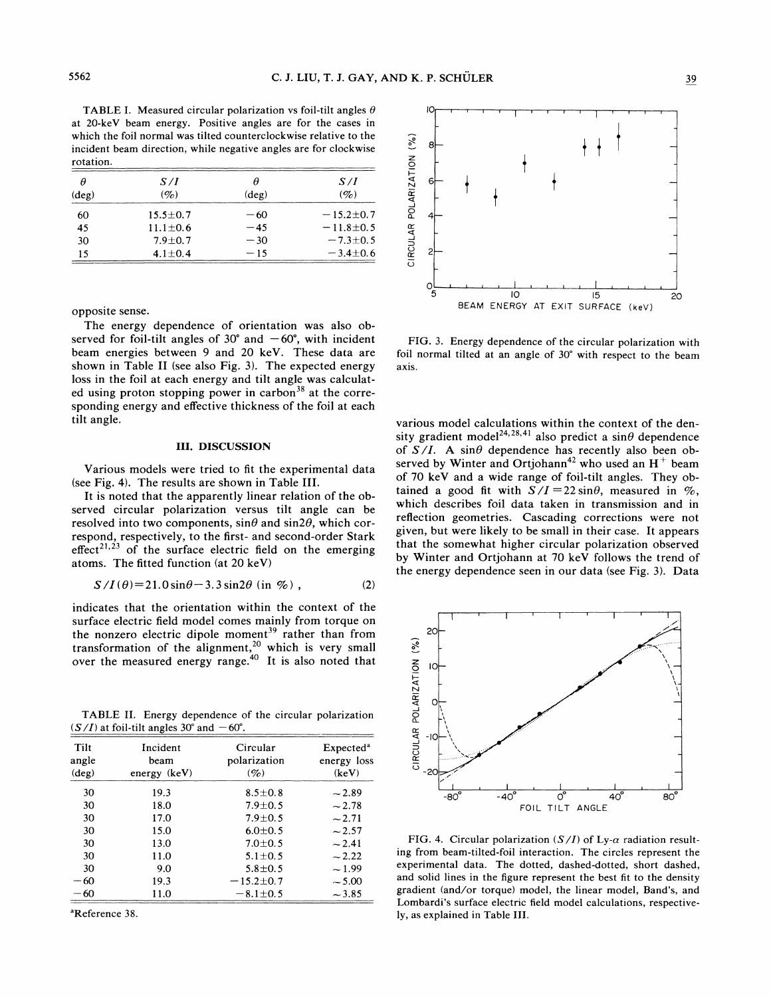TABLE I. Measured circular polarization vs foil-tilt angles  $\theta$ at 20-keV beam energy. Positive angles are for the cases in which the foil normal was tilted counterclockwise relative to the incident beam direction, while negative angles are for clockwise rotation.

| Η              | S/I            |                | S/I             |
|----------------|----------------|----------------|-----------------|
| $(\text{deg})$ | $(\%)$         | $(\text{deg})$ | $(\%)$          |
| 60             | $15.5 \pm 0.7$ | $-60$          | $-15.2 \pm 0.7$ |
| 45             | $11.1 \pm 0.6$ | $-45$          | $-11.8 \pm 0.5$ |
| 30             | $7.9 \pm 0.7$  | $-30$          | $-7.3 + 0.5$    |
| 15             | $4.1 \pm 0.4$  | $-15$          | $-3.4 \pm 0.6$  |

opposite sense.

The energy dependence of orientation was also observed for foil-tilt angles of  $30^{\circ}$  and  $-60^{\circ}$ , with incident beam energies between 9 and 20 keV. These data are shown in Table I1 (see also Fig. *3).* The expected energy loss in the foil at each energy and tilt angle was calculated using proton stopping power in carbon<sup>38</sup> at the corresponding energy and effective thickness of the foil at each tilt angle.

#### **111. DISCUSSION**

Various models were tried to fit the experimental data (see Fig. 4). The results are shown in Table 111.

It is noted that the apparently linear relation of the observed circular polarization versus tilt angle can be resolved into two components,  $\sin\theta$  and  $\sin 2\theta$ , which correspond, respectively, to the first- and second-order Stark  $effect^{21,23}$  of the surface electric field on the emerging atoms. The fitted function (at 20 keV)

$$
S/I(\theta) = 21.0 \sin \theta - 3.3 \sin 2\theta \text{ (in } \%), \qquad (2)
$$

indicates that the orientation within the context of the surface electric field model comes mainly from torque on the nonzero electric dipole moment<sup>39</sup> rather than from transformation of the alignment,<sup>20</sup> which is very small over the measured energy range. $40$  It is also noted that

TABLE II. Energy dependence of the circular polarization  $(S/I)$  at foil-tilt angles 30° and  $-60^\circ$ .

| Tilt<br>angle<br>$(\text{deg})$ | Incident<br>beam<br>energy (keV) | Circular<br>polarization<br>$(\%)$ | Expected <sup>a</sup><br>energy loss<br>(keV) | CIRCULA         |
|---------------------------------|----------------------------------|------------------------------------|-----------------------------------------------|-----------------|
| 30                              | 19.3                             | $8.5 \pm 0.8$                      | $-2.89$                                       |                 |
| 30                              | 18.0                             | $7.9 \pm 0.5$                      | $-2.78$                                       |                 |
| 30                              | 17.0                             | $7.9 \pm 0.5$                      | $-2.71$                                       |                 |
| 30                              | 15.0                             | $6.0 \pm 0.5$                      | $-2.57$                                       |                 |
| 30                              | 13.0                             | $7.0 \pm 0.5$                      | $-2.41$                                       | FIC             |
| 30                              | 11.0                             | $5.1 \pm 0.5$                      | $-2.22$                                       | ing fr          |
| 30                              | 9.0                              | $5.8 \pm 0.5$                      | ~1.99                                         | experi          |
| $-60$                           | 19.3                             | $-15.2 \pm 0.7$                    | $-5.00$                                       | and so          |
| $-60$                           | 11.0                             | $-8.1 \pm 0.5$                     | $-3.85$                                       | gradie<br>I omh |



FIG. 3. Energy dependence of the circular polarization with foil normal tilted at an angle of 30" with respect to the beam axis.

various model calculations within the context of the density gradient model<sup>24,28,41</sup> also predict a sin $\theta$  dependence of  $S/I$ . A sin $\theta$  dependence has recently also been observed by Winter and Ortjohann<sup>42</sup> who used an  $H^+$  beam of 70 keV and a wide range of foil-tilt angles. They obtained a good fit with  $S/I = 22 \sin\theta$ , measured in %, which describes foil data taken in transmission and in reflection geometries. Cascading corrections were not given, but were likely to be small in their case. It appears that the somewhat higher circular polarization observed by Winter and Ortjohann at 70 keV follows the trend of the energy dependence seen in our data (see Fig. *3).* Data



FIG. 4. Circular polarization ( $S/I$ ) of Ly- $\alpha$  radiation resulting from beam-tilted-foil interaction. The circles represent the experimental data. The dotted, dashed-dotted, short dashed, and solid lines in the figure represent the best fit to the density  $-60$  11.0  $-8.1\pm0.5$   $-3.85$  gradient (and/or torque) model, the linear model, Band's, and Lombardi's surface electric field model calculations, respective-<br><sup>a</sup>Reference 38. ly, as explained in Table III.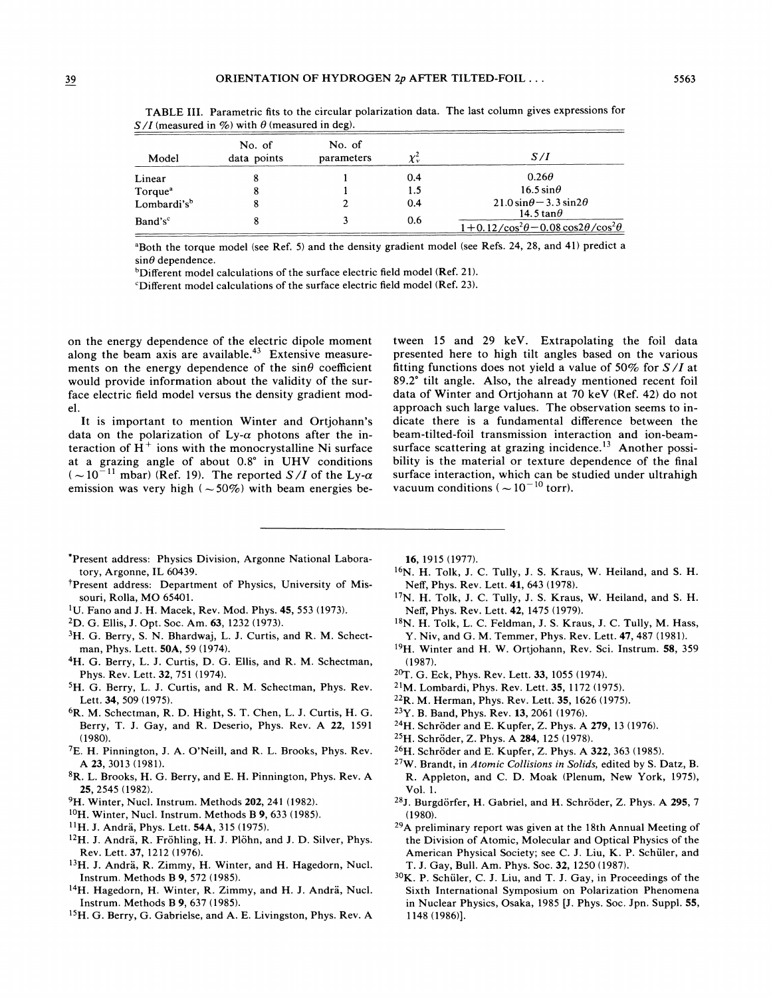|                         |                       | $\overline{\phantom{a}}$ |     |                                                            |
|-------------------------|-----------------------|--------------------------|-----|------------------------------------------------------------|
| Model                   | No. of<br>data points | No. of<br>parameters     | χ÷  | S / I                                                      |
| Linear                  | 8                     |                          | 0.4 | $0.26\theta$                                               |
| Torque <sup>a</sup>     | 8                     |                          | 1.5 | $16.5 \sin\theta$                                          |
| Lombardi's <sup>b</sup> | 8                     |                          | 0.4 | $21.0 \sin \theta - 3.3 \sin 2\theta$<br>14.5 tan $\theta$ |
| Band's <sup>c</sup>     | Ο                     |                          | 0.6 | $1+0.12/\cos^2\theta - 0.08\cos 2\theta/\cos^2\theta$      |

TABLE 111. Parametric fits to the circular polarization data. The last column gives expressions for  $S/I$  (measured in %) with  $\theta$  (measured in deg).

"Both the torque model (see Ref. 5) and the density gradient model (see Refs. 24, 28, and 41) predict a  $sin\theta$  dependence.

 $b$ Different model calculations of the surface electric field model (Ref. 21).

'Different model calculations of the surface electric field model (Ref. 23).

on the energy dependence of the electric dipole moment along the beam axis are available.<sup>43</sup> Extensive measurements on the energy dependence of the  $sin\theta$  coefficient would provide information about the validity of the surface electric field model versus the density gradient model.

It is important to mention Winter and Ortjohann's data on the polarization of Ly- $\alpha$  photons after the interaction of  $H^+$  ions with the monocrystalline Ni surface at a grazing angle of about 0.8" in UHV conditions  $(-10^{-11} \text{ mbar})$  (Ref. 19). The reported *S/I* of the Ly- $\alpha$ emission was very high  $(-50\%)$  with beam energies be-

tween 15 and 29 keV. Extrapolating the foil data presented here to high tilt angles based on the various fitting functions does not yield a value of **50%** for *S/I* at 89.2" tilt angle. Also, the already mentioned recent foil data of Winter and Ortjohann at 70 keV (Ref. 42) do not approach such large values. The observation seems to indicate there is a fundamental difference between the beam-tilted-foil transmission interaction and ion-beamsurface scattering at grazing incidence.<sup>13</sup> Another possibility is the material or texture dependence of the final surface interaction, which can be studied under ultrahigh vacuum conditions ( $\sim 10^{-10}$  torr).

- 'Present address: Physics Division, Argonne National Laboratory, Argonne, IL 60439.
- +present address: Department of Physics, University of Missouri, Rolla, MO 65401.
- 'U. Fano and J. H. Macek, Rev. Mod. Phys. 45, 553 (1973).
- 2D. G. Ellis, J. Opt. Soc. Am. 63, 1232 (1973).
- <sup>3</sup>H. G. Berry, S. N. Bhardwaj, L. J. Curtis, and R. M. Schectman, Phys. Lett. 50A, 59 (1974).
- <sup>4</sup>H. G. Berry, L. J. Curtis, D. G. Ellis, and R. M. Schectman, Phys. Rev. Lett. 32, 751 (1974).
- <sup>5</sup>H. G. Berry, L. J. Curtis, and R. M. Schectman, Phys. Rev. Lett. 34, 509 (1975).
- 6R. M. Schectman, R. D. Hight, S. T. Chen, L. J. Curtis, H. G. Berry, T. J. Gay, and R. Deserio, Phys. Rev. A 22, 1591 (1980).
- 'E. H. Pinnington, J. A. O'Neill, and R. L. Brooks, Phys. Rev. A 23, 3013 (1981).
- 8R. L. Brooks, H. G. Berry, and E. H. Pinnington, Phys. Rev. A 25, 2545 (1982).
- <sup>9</sup>H. Winter, Nucl. Instrum. Methods 202, 241 (1982).
- $^{10}$ H. Winter, Nucl. Instrum. Methods B 9, 633 (1985).
- $^{11}$ H. J. Andrä, Phys. Lett. 54A, 315 (1975).
- <sup>12</sup>H. J. Andrä, R. Fröhling, H. J. Plöhn, and J. D. Silver, Phys. Rev. Lett. 37, 1212 (1976).
- <sup>13</sup>H. J. Andrä, R. Zimmy, H. Winter, and H. Hagedorn, Nucl. Instrum. Methods B 9, 572 (1985).
- <sup>14</sup>H. Hagedorn, H. Winter, R. Zimmy, and H. J. Andrä, Nucl. Instrum. Methods B 9, 637 (1985).
- 15H. G. Berry, G. Gabrielse, and A. E. Livingston, Phys. Rev. A

16, 1915 (1977).

- $16N.$  H. Tolk, J. C. Tully, J. S. Kraus, W. Heiland, and S. H. Neff, Phys. Rev. Lett. 41, 643 (1978).
- 17N. H. Tolk, J. C. Tully, J. S. Kraus, W. Heiland, and S. H. Neff, Phys. Rev. Lett. 42, 1475 (1979).
- 18N. H. Tolk, L. C. Feldman, J. S. Kraus, J. *C.* Tully, M. Hass, Y. Niv, and G. M. Temmer, Phys. Rev. Lett. 47, 487 (1981).
- $19H.$  Winter and H. W. Ortjohann, Rev. Sci. Instrum. 58, 359 (1987).
- 20T. G. Eck, Phys. Rev. Lett. 33, 1055 (1974).
- $21M.$  Lombardi, Phys. Rev. Lett. 35, 1172 (1975).
- <sup>22</sup>R. M. Herman, Phys. Rev. Lett. 35, 1626 (1975).
- <sup>23</sup>Y. B. Band, Phys. Rev. 13, 2061 (1976).
- <sup>24</sup>H. Schröder and E. Kupfer, Z. Phys. A **279**, 13 (1976).
- $^{25}$ H. Schröder, Z. Phys. A 284, 125 (1978).
- $^{26}$ H. Schröder and E. Kupfer, Z. Phys. A 322, 363 (1985).
- 27W. Brandt, in *Atomic Collisions in Solids,* edited by S. Datz, B. R. Appleton, and C. D. Moak (Plenum, New York, 1975), Vol. 1.
- <sup>28</sup>J. Burgdörfer, H. Gabriel, and H. Schröder, Z. Phys. A 295, 7 (1980).
- $29A$  preliminary report was given at the 18th Annual Meeting of the Division of Atomic, Molecular and Optical Physics of the American Physical Society; see C. J. Liu, K. P. Schiiler, and T. J. Gay, Bull. Am. Phys. Soc. 32, 1250 (1987).
- <sup>30</sup>K. P. Schüler, C. J. Liu, and T. J. Gay, in Proceedings of the Sixth International Symposium on Polarization Phenomena in Nuclear Physics, Osaka, 1985 [J. Phys. Soc. Jpn. Suppl. 55, 1148 (1986)l.